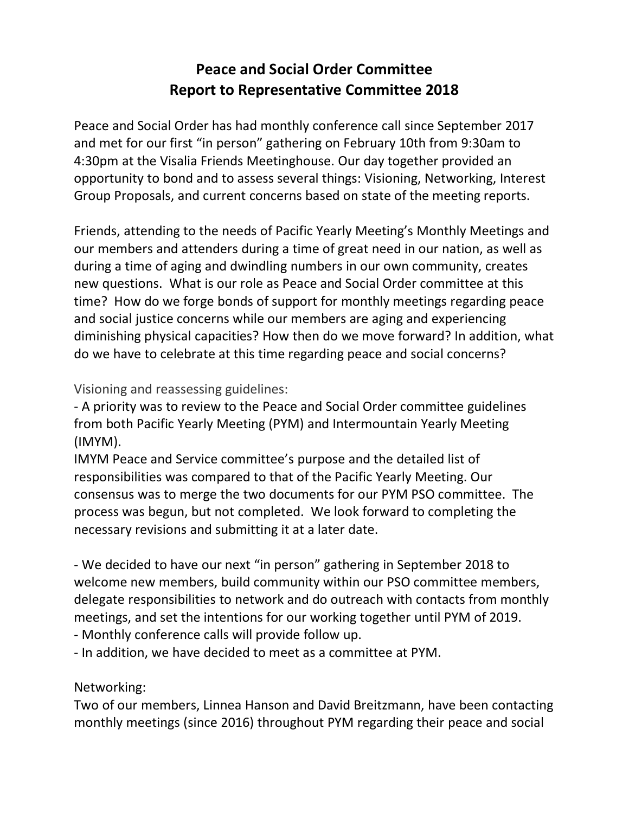## **Peace and Social Order Committee Report to Representative Committee 2018**

Peace and Social Order has had monthly conference call since September 2017 and met for our first "in person" gathering on February 10th from 9:30am to 4:30pm at the Visalia Friends Meetinghouse. Our day together provided an opportunity to bond and to assess several things: Visioning, Networking, Interest Group Proposals, and current concerns based on state of the meeting reports.

Friends, attending to the needs of Pacific Yearly Meeting's Monthly Meetings and our members and attenders during a time of great need in our nation, as well as during a time of aging and dwindling numbers in our own community, creates new questions. What is our role as Peace and Social Order committee at this time? How do we forge bonds of support for monthly meetings regarding peace and social justice concerns while our members are aging and experiencing diminishing physical capacities? How then do we move forward? In addition, what do we have to celebrate at this time regarding peace and social concerns?

## Visioning and reassessing guidelines:

- A priority was to review to the Peace and Social Order committee guidelines from both Pacific Yearly Meeting (PYM) and Intermountain Yearly Meeting (IMYM).

IMYM Peace and Service committee's purpose and the detailed list of responsibilities was compared to that of the Pacific Yearly Meeting. Our consensus was to merge the two documents for our PYM PSO committee. The process was begun, but not completed. We look forward to completing the necessary revisions and submitting it at a later date.

- We decided to have our next "in person" gathering in September 2018 to welcome new members, build community within our PSO committee members, delegate responsibilities to network and do outreach with contacts from monthly meetings, and set the intentions for our working together until PYM of 2019.

- Monthly conference calls will provide follow up.

- In addition, we have decided to meet as a committee at PYM.

## Networking:

Two of our members, Linnea Hanson and David Breitzmann, have been contacting monthly meetings (since 2016) throughout PYM regarding their peace and social